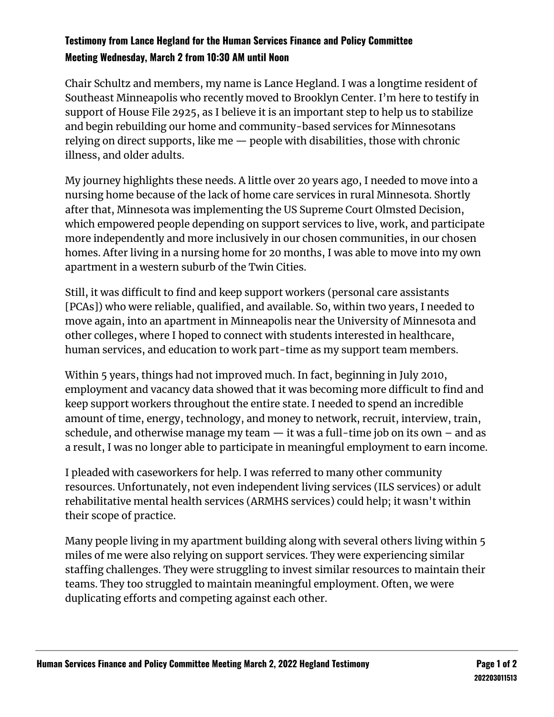## **Testimony from Lance Hegland for the Human Services Finance and Policy Committee Meeting Wednesday, March 2 from 10:30 AM until Noon**

Chair Schultz and members, my name is Lance Hegland. I was a longtime resident of Southeast Minneapolis who recently moved to Brooklyn Center. I'm here to testify in support of House File 2925, as I believe it is an important step to help us to stabilize and begin rebuilding our home and community-based services for Minnesotans relying on direct supports, like me — people with disabilities, those with chronic illness, and older adults.

My journey highlights these needs. A little over 20 years ago, I needed to move into a nursing home because of the lack of home care services in rural Minnesota. Shortly after that, Minnesota was implementing the US Supreme Court Olmsted Decision, which empowered people depending on support services to live, work, and participate more independently and more inclusively in our chosen communities, in our chosen homes. After living in a nursing home for 20 months, I was able to move into my own apartment in a western suburb of the Twin Cities.

Still, it was difficult to find and keep support workers (personal care assistants [PCAs]) who were reliable, qualified, and available. So, within two years, I needed to move again, into an apartment in Minneapolis near the University of Minnesota and other colleges, where I hoped to connect with students interested in healthcare, human services, and education to work part-time as my support team members.

Within 5 years, things had not improved much. In fact, beginning in July 2010, employment and vacancy data showed that it was becoming more difficult to find and keep support workers throughout the entire state. I needed to spend an incredible amount of time, energy, technology, and money to network, recruit, interview, train, schedule, and otherwise manage my team  $-$  it was a full-time job on its own  $-$  and as a result, I was no longer able to participate in meaningful employment to earn income.

I pleaded with caseworkers for help. I was referred to many other community resources. Unfortunately, not even independent living services (ILS services) or adult rehabilitative mental health services (ARMHS services) could help; it wasn't within their scope of practice.

Many people living in my apartment building along with several others living within 5 miles of me were also relying on support services. They were experiencing similar staffing challenges. They were struggling to invest similar resources to maintain their teams. They too struggled to maintain meaningful employment. Often, we were duplicating efforts and competing against each other.